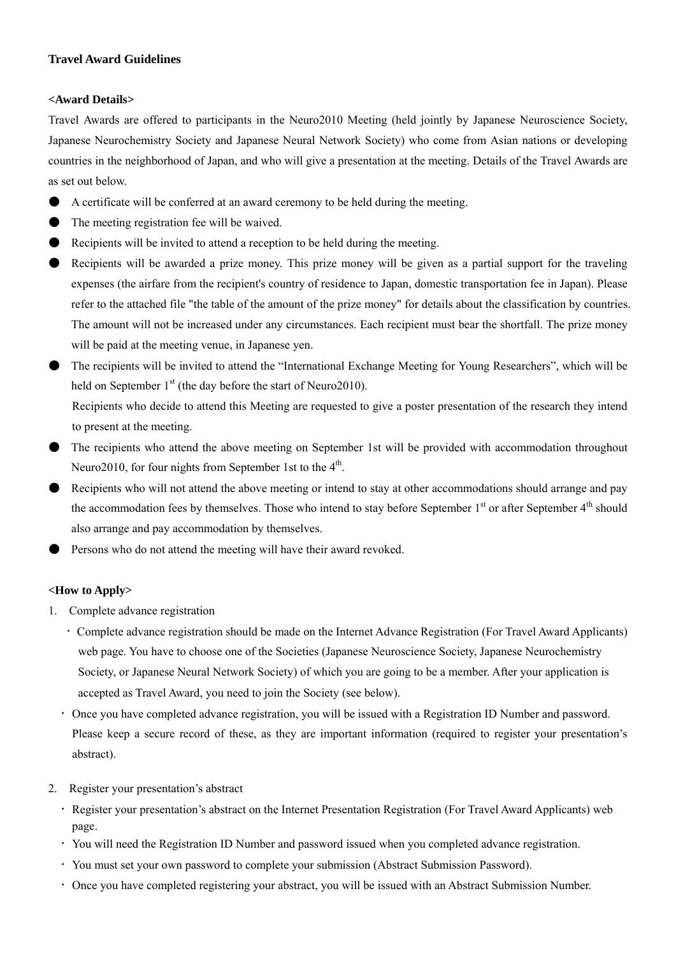## **Travel Award Guidelines**

### **<Award Details>**

Travel Awards are offered to participants in the Neuro2010 Meeting (held jointly by Japanese Neuroscience Society, Japanese Neurochemistry Society and Japanese Neural Network Society) who come from Asian nations or developing countries in the neighborhood of Japan, and who will give a presentation at the meeting. Details of the Travel Awards are as set out below.

- A certificate will be conferred at an award ceremony to be held during the meeting.
- The meeting registration fee will be waived.
- Recipients will be invited to attend a reception to be held during the meeting.
- Recipients will be awarded a prize money. This prize money will be given as a partial support for the traveling expenses (the airfare from the recipient's country of residence to Japan, domestic transportation fee in Japan). Please refer to the attached file "the table of the amount of the prize money" for details about the classification by countries. The amount will not be increased under any circumstances. Each recipient must bear the shortfall. The prize money will be paid at the meeting venue, in Japanese yen.
- The recipients will be invited to attend the "International Exchange Meeting for Young Researchers", which will be held on September  $1<sup>st</sup>$  (the day before the start of Neuro2010).

Recipients who decide to attend this Meeting are requested to give a poster presentation of the research they intend to present at the meeting.

- The recipients who attend the above meeting on September 1st will be provided with accommodation throughout Neuro2010, for four nights from September 1st to the  $4<sup>th</sup>$ .
- Recipients who will not attend the above meeting or intend to stay at other accommodations should arrange and pay the accommodation fees by themselves. Those who intend to stay before September 1<sup>st</sup> or after September 4<sup>th</sup> should also arrange and pay accommodation by themselves.
- Persons who do not attend the meeting will have their award revoked.

# **<How to Apply>**

- 1. Complete advance registration
	- ・Complete advance registration should be made on the Internet Advance Registration (For Travel Award Applicants) web page. You have to choose one of the Societies (Japanese Neuroscience Society, Japanese Neurochemistry Society, or Japanese Neural Network Society) of which you are going to be a member. After your application is accepted as Travel Award, you need to join the Society (see below).
	- ・Once you have completed advance registration, you will be issued with a Registration ID Number and password. Please keep a secure record of these, as they are important information (required to register your presentation's abstract).
- 2. Register your presentation's abstract
	- ・Register your presentation's abstract on the Internet Presentation Registration (For Travel Award Applicants) web page.
	- ・You will need the Registration ID Number and password issued when you completed advance registration.
	- ・You must set your own password to complete your submission (Abstract Submission Password).
	- ・Once you have completed registering your abstract, you will be issued with an Abstract Submission Number.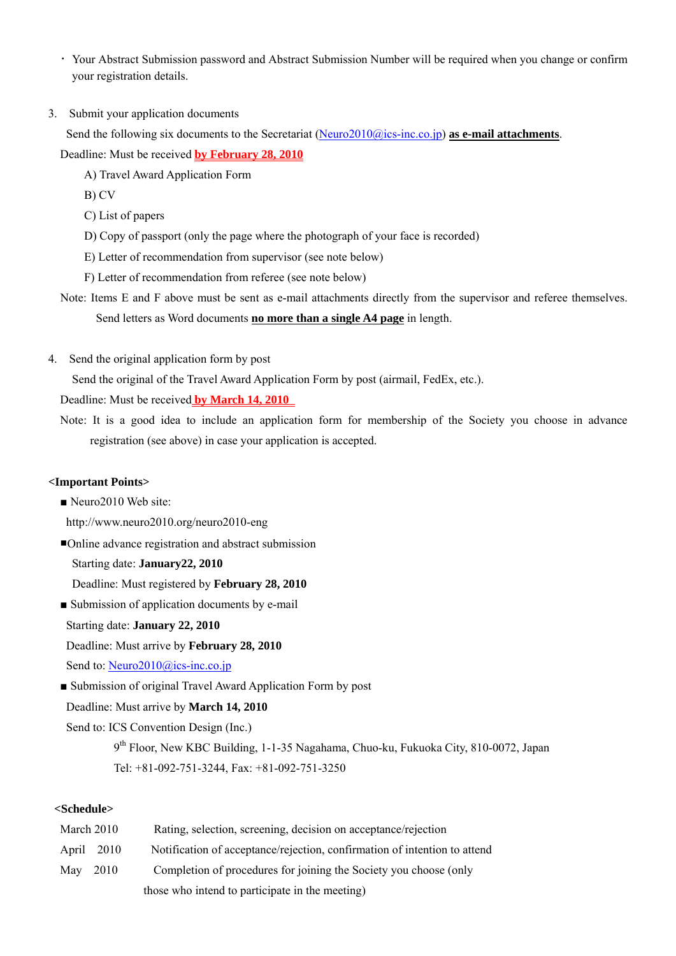- ・Your Abstract Submission password and Abstract Submission Number will be required when you change or confirm your registration details.
- 3. Submit your application documents

Send the following six documents to the Secretariat (Neuro2010@ics-inc.co.jp) **as e-mail attachments**.

Deadline: Must be received **by February 28, 2010**

- A) Travel Award Application Form
- B) CV

C) List of papers

- D) Copy of passport (only the page where the photograph of your face is recorded)
- E) Letter of recommendation from supervisor (see note below)
- F) Letter of recommendation from referee (see note below)
- Note: Items E and F above must be sent as e-mail attachments directly from the supervisor and referee themselves. Send letters as Word documents **no more than a single A4 page** in length.
- 4. Send the original application form by post

Send the original of the Travel Award Application Form by post (airmail, FedEx, etc.).

Deadline: Must be received **by March 14, 2010** 

Note: It is a good idea to include an application form for membership of the Society you choose in advance registration (see above) in case your application is accepted.

### **<Important Points>**

- Neuro2010 Web site:
- http://www.neuro2010.org/neuro2010-eng

■Online advance registration and abstract submission

Starting date: **January22, 2010**

Deadline: Must registered by **February 28, 2010**

■ Submission of application documents by e-mail Starting date: **January 22, 2010** 

Deadline: Must arrive by **February 28, 2010** 

Send to: Neuro2010@ics-inc.co.jp

■ Submission of original Travel Award Application Form by post

Deadline: Must arrive by **March 14, 2010** 

Send to: ICS Convention Design (Inc.)

9<sup>th</sup> Floor, New KBC Building, 1-1-35 Nagahama, Chuo-ku, Fukuoka City, 810-0072, Japan Tel: +81-092-751-3244, Fax: +81-092-751-3250

## **<Schedule>**

| March 2010 |            | Rating, selection, screening, decision on acceptance/rejection            |
|------------|------------|---------------------------------------------------------------------------|
|            | April 2010 | Notification of acceptance/rejection, confirmation of intention to attend |
| May 2010   |            | Completion of procedures for joining the Society you choose (only         |
|            |            | those who intend to participate in the meeting)                           |